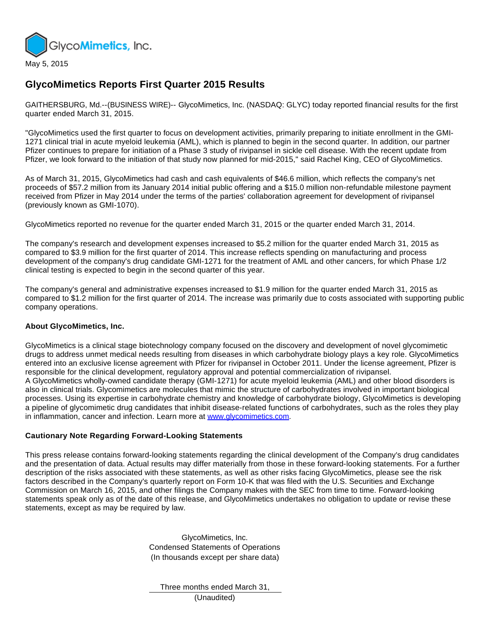

## **GlycoMimetics Reports First Quarter 2015 Results**

GAITHERSBURG, Md.--(BUSINESS WIRE)-- GlycoMimetics, Inc. (NASDAQ: GLYC) today reported financial results for the first quarter ended March 31, 2015.

"GlycoMimetics used the first quarter to focus on development activities, primarily preparing to initiate enrollment in the GMI-1271 clinical trial in acute myeloid leukemia (AML), which is planned to begin in the second quarter. In addition, our partner Pfizer continues to prepare for initiation of a Phase 3 study of rivipansel in sickle cell disease. With the recent update from Pfizer, we look forward to the initiation of that study now planned for mid-2015," said Rachel King, CEO of GlycoMimetics.

As of March 31, 2015, GlycoMimetics had cash and cash equivalents of \$46.6 million, which reflects the company's net proceeds of \$57.2 million from its January 2014 initial public offering and a \$15.0 million non-refundable milestone payment received from Pfizer in May 2014 under the terms of the parties' collaboration agreement for development of rivipansel (previously known as GMI-1070).

GlycoMimetics reported no revenue for the quarter ended March 31, 2015 or the quarter ended March 31, 2014.

The company's research and development expenses increased to \$5.2 million for the quarter ended March 31, 2015 as compared to \$3.9 million for the first quarter of 2014. This increase reflects spending on manufacturing and process development of the company's drug candidate GMI-1271 for the treatment of AML and other cancers, for which Phase 1/2 clinical testing is expected to begin in the second quarter of this year.

The company's general and administrative expenses increased to \$1.9 million for the quarter ended March 31, 2015 as compared to \$1.2 million for the first quarter of 2014. The increase was primarily due to costs associated with supporting public company operations.

## **About GlycoMimetics, Inc.**

GlycoMimetics is a clinical stage biotechnology company focused on the discovery and development of novel glycomimetic drugs to address unmet medical needs resulting from diseases in which carbohydrate biology plays a key role. GlycoMimetics entered into an exclusive license agreement with Pfizer for rivipansel in October 2011. Under the license agreement, Pfizer is responsible for the clinical development, regulatory approval and potential commercialization of rivipansel. A GlycoMimetics wholly-owned candidate therapy (GMI-1271) for acute myeloid leukemia (AML) and other blood disorders is also in clinical trials. Glycomimetics are molecules that mimic the structure of carbohydrates involved in important biological processes. Using its expertise in carbohydrate chemistry and knowledge of carbohydrate biology, GlycoMimetics is developing a pipeline of glycomimetic drug candidates that inhibit disease-related functions of carbohydrates, such as the roles they play in inflammation, cancer and infection. Learn more at [www.glycomimetics.com](http://cts.businesswire.com/ct/CT?id=smartlink&url=http%3A%2F%2Fwww.glycomimetics.com&esheet=51095817&newsitemid=20150505006609&lan=en-US&anchor=www.glycomimetics.com&index=1&md5=9c066e403f16376c19238adfa00c36e5).

## **Cautionary Note Regarding Forward-Looking Statements**

This press release contains forward-looking statements regarding the clinical development of the Company's drug candidates and the presentation of data. Actual results may differ materially from those in these forward-looking statements. For a further description of the risks associated with these statements, as well as other risks facing GlycoMimetics, please see the risk factors described in the Company's quarterly report on Form 10-K that was filed with the U.S. Securities and Exchange Commission on March 16, 2015, and other filings the Company makes with the SEC from time to time. Forward-looking statements speak only as of the date of this release, and GlycoMimetics undertakes no obligation to update or revise these statements, except as may be required by law.

> GlycoMimetics, Inc. Condensed Statements of Operations (In thousands except per share data)

Three months ended March 31,

(Unaudited)